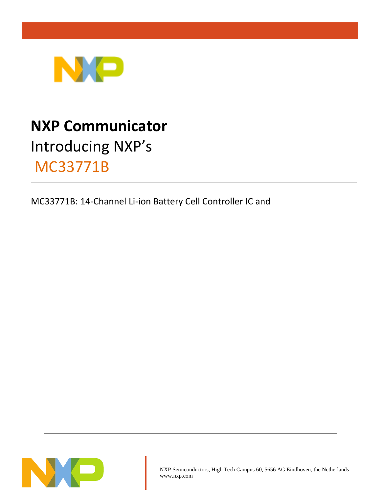

# **NXP Communicator** Introducing NXP's MC33771B

MC33771B: 14-Channel Li-ion Battery Cell Controller IC and

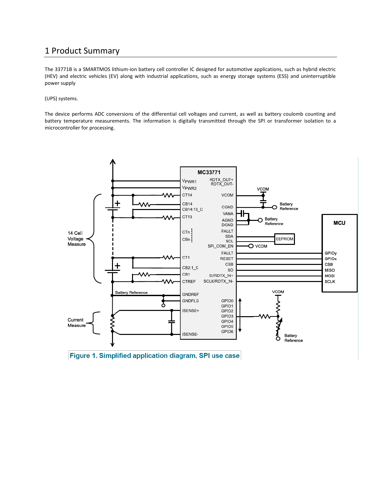## 1 Product Summary

The 33771B is a SMARTMOS lithium-ion battery cell controller IC designed for automotive applications, such as hybrid electric (HEV) and electric vehicles (EV) along with industrial applications, such as energy storage systems (ESS) and uninterruptible power supply

(UPS) systems.

The device performs ADC conversions of the differential cell voltages and current, as well as battery coulomb counting and battery temperature measurements. The information is digitally transmitted through the SPI or transformer isolation to a microcontroller for processing.



Figure 1. Simplified application diagram, SPI use case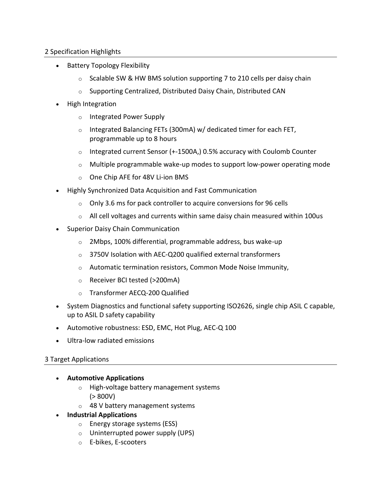## 2 Specification Highlights

- Battery Topology Flexibility
	- $\circ$  Scalable SW & HW BMS solution supporting 7 to 210 cells per daisy chain
	- o Supporting Centralized, Distributed Daisy Chain, Distributed CAN
- High Integration
	- o Integrated Power Supply
	- $\circ$  Integrated Balancing FETs (300mA) w/ dedicated timer for each FET, programmable up to 8 hours
	- $\circ$  Integrated current Sensor (+-1500A,) 0.5% accuracy with Coulomb Counter
	- $\circ$  Multiple programmable wake-up modes to support low-power operating mode
	- o One Chip AFE for 48V Li-ion BMS
- Highly Synchronized Data Acquisition and Fast Communication
	- o Only 3.6 ms for pack controller to acquire conversions for 96 cells
	- $\circ$  All cell voltages and currents within same daisy chain measured within 100us
- Superior Daisy Chain Communication
	- o 2Mbps, 100% differential, programmable address, bus wake-up
	- o 3750V Isolation with AEC-Q200 qualified external transformers
	- o Automatic termination resistors, Common Mode Noise Immunity,
	- o Receiver BCI tested (>200mA)
	- o Transformer AECQ-200 Qualified
- System Diagnostics and functional safety supporting ISO2626, single chip ASIL C capable, up to ASIL D safety capability
- Automotive robustness: ESD, EMC, Hot Plug, AEC-Q 100
- Ultra-low radiated emissions

### 3 Target Applications

- **Automotive Applications**
	- o High-voltage battery management systems  $(> 800V)$
	- o 48 V battery management systems
- **Industrial Applications**
	- o Energy storage systems (ESS)
	- o Uninterrupted power supply (UPS)
	- o E-bikes, E-scooters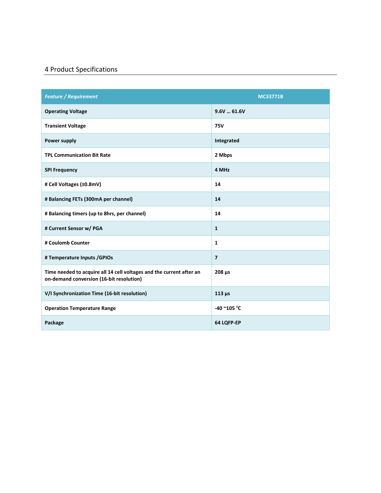## 4 Product Specifications

| <b>Feature / Requirement</b>                                                                                     | <b>MC33771B</b> |  |
|------------------------------------------------------------------------------------------------------------------|-----------------|--|
| <b>Operating Voltage</b>                                                                                         | 9.6V61.6V       |  |
| <b>Transient Voltage</b>                                                                                         | <b>75V</b>      |  |
| <b>Power supply</b>                                                                                              | Integrated      |  |
| <b>TPL Communication Bit Rate</b>                                                                                | 2 Mbps          |  |
| <b>SPI Frequency</b>                                                                                             | 4 MHz           |  |
| # Cell Voltages (±0.8mV)                                                                                         | 14              |  |
| # Balancing FETs (300mA per channel)                                                                             | 14              |  |
| # Balancing timers (up to 8hrs, per channel)                                                                     | 14              |  |
| # Current Sensor w/ PGA                                                                                          | $\mathbf{1}$    |  |
| # Coulomb Counter                                                                                                | $\mathbf{1}$    |  |
| # Temperature Inputs / GPIOs                                                                                     | $\overline{7}$  |  |
| Time needed to acquire all 14 cell voltages and the current after an<br>on-demand conversion (16-bit resolution) | $208 \mu s$     |  |
| V/I Synchronization Time (16-bit resolution)                                                                     | $113 \mu s$     |  |
| <b>Operation Temperature Range</b>                                                                               | -40 ~105 °C     |  |
| Package                                                                                                          | 64 LQFP-EP      |  |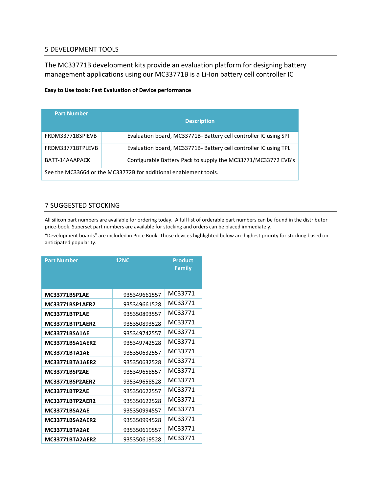#### 5 DEVELOPMENT TOOLS

The MC33771B development kits provide an evaluation platform for designing battery management applications using our MC33771B is a Li-Ion battery cell controller IC

#### **Easy to Use tools: Fast Evaluation of Device performance**

| <b>Part Number</b>                                               | <b>Description</b>                                               |  |  |
|------------------------------------------------------------------|------------------------------------------------------------------|--|--|
| FRDM33771BSPIEVB                                                 | Evaluation board, MC33771B- Battery cell controller IC using SPI |  |  |
| FRDM33771BTPLEVB                                                 | Evaluation board, MC33771B- Battery cell controller IC using TPL |  |  |
| BATT-14AAAPACK                                                   | Configurable Battery Pack to supply the MC33771/MC33772 EVB's    |  |  |
| See the MC33664 or the MC33772B for additional enablement tools. |                                                                  |  |  |

#### 7 SUGGESTED STOCKING

All silicon part numbers are available for ordering today. A full list of orderable part numbers can be found in the distributor price-book. Superset part numbers are available for stocking and orders can be placed immediately.

"Development boards" are included in Price Book. Those devices highlighted below are highest priority for stocking based on anticipated popularity.

| <b>Part Number</b>     | <b>12NC</b>  | <b>Product</b><br><b>Family</b> |  |
|------------------------|--------------|---------------------------------|--|
| <b>MC33771BSP1AE</b>   | 935349661557 | MC33771                         |  |
| <b>MC33771BSP1AER2</b> | 935349661528 | MC33771                         |  |
| <b>MC33771BTP1AE</b>   | 935350893557 | MC33771                         |  |
| <b>MC33771BTP1AER2</b> | 935350893528 | MC33771                         |  |
| <b>MC33771BSA1AE</b>   | 935349742557 | MC33771                         |  |
| <b>MC33771BSA1AER2</b> | 935349742528 | MC33771                         |  |
| <b>MC33771BTA1AE</b>   | 935350632557 | MC33771                         |  |
| <b>MC33771BTA1AER2</b> | 935350632528 | MC33771                         |  |
| <b>MC33771BSP2AE</b>   | 935349658557 | MC33771                         |  |
| MC33771BSP2AER2        | 935349658528 | MC33771                         |  |
| <b>MC33771BTP2AE</b>   | 935350622557 | MC33771                         |  |
| <b>MC33771BTP2AER2</b> | 935350622528 | MC33771                         |  |
| MC33771BSA2AE          | 935350994557 | MC33771                         |  |
| MC33771BSA2AER2        | 935350994528 | MC33771                         |  |
| <b>MC33771BTA2AE</b>   | 935350619557 | MC33771                         |  |
| MC33771BTA2AER2        | 935350619528 | MC33771                         |  |